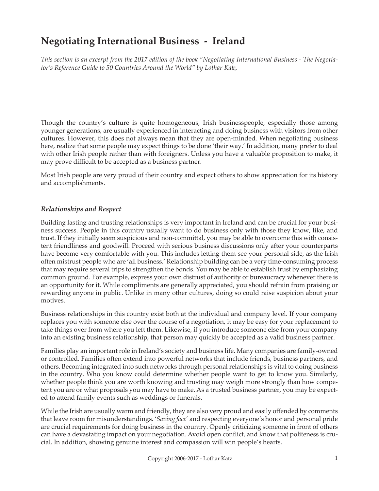# **Negotiating International Business - Ireland**

*This section is an excerpt from the 2017 edition of the book "Negotiating International Business - The Negotiator's Reference Guide to 50 Countries Around the World" by Lothar Katz.*

Though the country's culture is quite homogeneous, Irish businesspeople, especially those among younger generations, are usually experienced in interacting and doing business with visitors from other cultures. However, this does not always mean that they are open-minded. When negotiating business here, realize that some people may expect things to be done 'their way.' In addition, many prefer to deal with other Irish people rather than with foreigners. Unless you have a valuable proposition to make, it may prove difficult to be accepted as a business partner.

Most Irish people are very proud of their country and expect others to show appreciation for its history and accomplishments.

## *Relationships and Respect*

Building lasting and trusting relationships is very important in Ireland and can be crucial for your business success. People in this country usually want to do business only with those they know, like, and trust. If they initially seem suspicious and non-committal, you may be able to overcome this with consistent friendliness and goodwill. Proceed with serious business discussions only after your counterparts have become very comfortable with you. This includes letting them see your personal side, as the Irish often mistrust people who are 'all business.' Relationship building can be a very time-consuming process that may require several trips to strengthen the bonds. You may be able to establish trust by emphasizing common ground. For example, express your own distrust of authority or bureaucracy whenever there is an opportunity for it. While compliments are generally appreciated, you should refrain from praising or rewarding anyone in public. Unlike in many other cultures, doing so could raise suspicion about your motives.

Business relationships in this country exist both at the individual and company level. If your company replaces you with someone else over the course of a negotiation, it may be easy for your replacement to take things over from where you left them. Likewise, if you introduce someone else from your company into an existing business relationship, that person may quickly be accepted as a valid business partner.

Families play an important role in Ireland's society and business life. Many companies are family-owned or controlled. Families often extend into powerful networks that include friends, business partners, and others. Becoming integrated into such networks through personal relationships is vital to doing business in the country. Who you know could determine whether people want to get to know you. Similarly, whether people think you are worth knowing and trusting may weigh more strongly than how competent you are or what proposals you may have to make. As a trusted business partner, you may be expected to attend family events such as weddings or funerals.

While the Irish are usually warm and friendly, they are also very proud and easily offended by comments that leave room for misunderstandings. '*Saving face*' and respecting everyone's honor and personal pride are crucial requirements for doing business in the country. Openly criticizing someone in front of others can have a devastating impact on your negotiation. Avoid open conflict, and know that politeness is crucial. In addition, showing genuine interest and compassion will win people's hearts.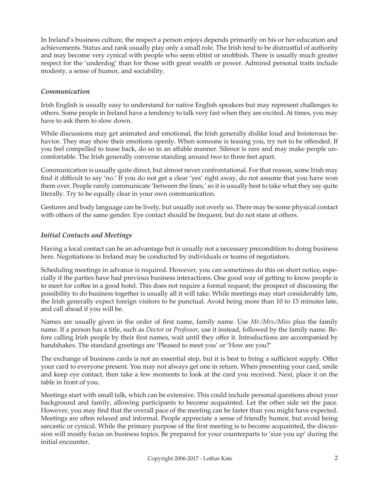In Ireland's business culture, the respect a person enjoys depends primarily on his or her education and achievements. Status and rank usually play only a small role. The Irish tend to be distrustful of authority and may become very cynical with people who seem elitist or snobbish. There is usually much greater respect for the 'underdog' than for those with great wealth or power. Admired personal traits include modesty, a sense of humor, and sociability.

# *Communication*

Irish English is usually easy to understand for native English speakers but may represent challenges to others. Some people in Ireland have a tendency to talk very fast when they are excited. At times, you may have to ask them to slow down.

While discussions may get animated and emotional, the Irish generally dislike loud and boisterous behavior. They may show their emotions openly. When someone is teasing you, try not to be offended. If you feel compelled to tease back, do so in an affable manner. Silence is rare and may make people uncomfortable. The Irish generally converse standing around two to three feet apart.

Communication is usually quite direct, but almost never confrontational. For that reason, some Irish may find it difficult to say 'no.' If you do not get a clear 'yes' right away, do not assume that you have won them over. People rarely communicate 'between the lines,' so it is usually best to take what they say quite literally. Try to be equally clear in your own communication.

Gestures and body language can be lively, but usually not overly so. There may be some physical contact with others of the same gender. Eye contact should be frequent, but do not stare at others.

# *Initial Contacts and Meetings*

Having a local contact can be an advantage but is usually not a necessary precondition to doing business here. Negotiations in Ireland may be conducted by individuals or teams of negotiators.

Scheduling meetings in advance is required. However, you can sometimes do this on short notice, especially if the parties have had previous business interactions. One good way of getting to know people is to meet for coffee in a good hotel. This does not require a formal request; the prospect of discussing the possibility to do business together is usually all it will take. While meetings may start considerably late, the Irish generally expect foreign visitors to be punctual. Avoid being more than 10 to 15 minutes late, and call ahead if you will be.

Names are usually given in the order of first name, family name. Use *Mr./Mrs./Miss* plus the family name. If a person has a title, such as *Doctor* or *Professor*, use it instead, followed by the family name. Before calling Irish people by their first names, wait until they offer it. Introductions are accompanied by handshakes. The standard greetings are 'Pleased to meet you' or 'How are you?'

The exchange of business cards is not an essential step, but it is best to bring a sufficient supply. Offer your card to everyone present. You may not always get one in return. When presenting your card, smile and keep eye contact, then take a few moments to look at the card you received. Next, place it on the table in front of you.

Meetings start with small talk, which can be extensive. This could include personal questions about your background and family, allowing participants to become acquainted. Let the other side set the pace. However, you may find that the overall pace of the meeting can be faster than you might have expected. Meetings are often relaxed and informal. People appreciate a sense of friendly humor, but avoid being sarcastic or cynical. While the primary purpose of the first meeting is to become acquainted, the discussion will mostly focus on business topics. Be prepared for your counterparts to 'size you up' during the initial encounter.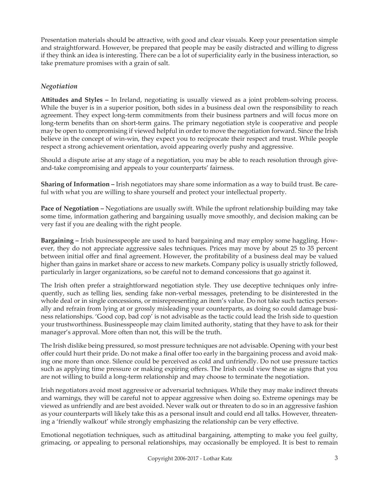Presentation materials should be attractive, with good and clear visuals. Keep your presentation simple and straightforward. However, be prepared that people may be easily distracted and willing to digress if they think an idea is interesting. There can be a lot of superficiality early in the business interaction, so take premature promises with a grain of salt.

# *Negotiation*

**Attitudes and Styles –** In Ireland, negotiating is usually viewed as a joint problem-solving process. While the buyer is in a superior position, both sides in a business deal own the responsibility to reach agreement. They expect long-term commitments from their business partners and will focus more on long-term benefits than on short-term gains. The primary negotiation style is cooperative and people may be open to compromising if viewed helpful in order to move the negotiation forward. Since the Irish believe in the concept of win-win, they expect you to reciprocate their respect and trust. While people respect a strong achievement orientation, avoid appearing overly pushy and aggressive.

Should a dispute arise at any stage of a negotiation, you may be able to reach resolution through giveand-take compromising and appeals to your counterparts' fairness.

**Sharing of Information –** Irish negotiators may share some information as a way to build trust. Be careful with what you are willing to share yourself and protect your intellectual property.

**Pace of Negotiation –** Negotiations are usually swift. While the upfront relationship building may take some time, information gathering and bargaining usually move smoothly, and decision making can be very fast if you are dealing with the right people.

**Bargaining –** Irish businesspeople are used to hard bargaining and may employ some haggling. However, they do not appreciate aggressive sales techniques. Prices may move by about 25 to 35 percent between initial offer and final agreement. However, the profitability of a business deal may be valued higher than gains in market share or access to new markets. Company policy is usually strictly followed, particularly in larger organizations, so be careful not to demand concessions that go against it.

The Irish often prefer a straightforward negotiation style. They use deceptive techniques only infrequently, such as telling lies, sending fake non-verbal messages, pretending to be disinterested in the whole deal or in single concessions, or misrepresenting an item's value. Do not take such tactics personally and refrain from lying at or grossly misleading your counterparts, as doing so could damage business relationships. 'Good cop, bad cop' is not advisable as the tactic could lead the Irish side to question your trustworthiness. Businesspeople may claim limited authority, stating that they have to ask for their manager's approval. More often than not, this will be the truth.

The Irish dislike being pressured, so most pressure techniques are not advisable. Opening with your best offer could hurt their pride. Do not make a final offer too early in the bargaining process and avoid making one more than once. Silence could be perceived as cold and unfriendly. Do not use pressure tactics such as applying time pressure or making expiring offers. The Irish could view these as signs that you are not willing to build a long-term relationship and may choose to terminate the negotiation.

Irish negotiators avoid most aggressive or adversarial techniques. While they may make indirect threats and warnings, they will be careful not to appear aggressive when doing so. Extreme openings may be viewed as unfriendly and are best avoided. Never walk out or threaten to do so in an aggressive fashion as your counterparts will likely take this as a personal insult and could end all talks. However, threatening a 'friendly walkout' while strongly emphasizing the relationship can be very effective.

Emotional negotiation techniques, such as attitudinal bargaining, attempting to make you feel guilty, grimacing, or appealing to personal relationships, may occasionally be employed. It is best to remain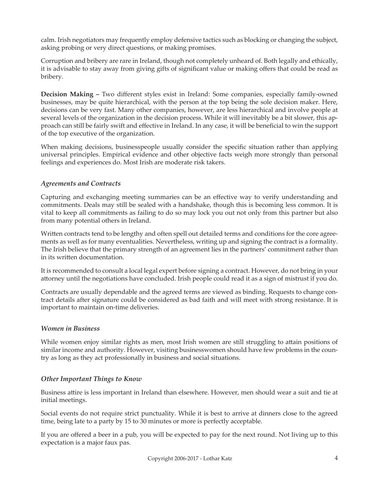calm. Irish negotiators may frequently employ defensive tactics such as blocking or changing the subject, asking probing or very direct questions, or making promises.

Corruption and bribery are rare in Ireland, though not completely unheard of. Both legally and ethically, it is advisable to stay away from giving gifts of significant value or making offers that could be read as bribery.

**Decision Making –** Two different styles exist in Ireland: Some companies, especially family-owned businesses, may be quite hierarchical, with the person at the top being the sole decision maker. Here, decisions can be very fast. Many other companies, however, are less hierarchical and involve people at several levels of the organization in the decision process. While it will inevitably be a bit slower, this approach can still be fairly swift and effective in Ireland. In any case, it will be beneficial to win the support of the top executive of the organization.

When making decisions, businesspeople usually consider the specific situation rather than applying universal principles. Empirical evidence and other objective facts weigh more strongly than personal feelings and experiences do. Most Irish are moderate risk takers.

# *Agreements and Contracts*

Capturing and exchanging meeting summaries can be an effective way to verify understanding and commitments. Deals may still be sealed with a handshake, though this is becoming less common. It is vital to keep all commitments as failing to do so may lock you out not only from this partner but also from many potential others in Ireland.

Written contracts tend to be lengthy and often spell out detailed terms and conditions for the core agreements as well as for many eventualities. Nevertheless, writing up and signing the contract is a formality. The Irish believe that the primary strength of an agreement lies in the partners' commitment rather than in its written documentation.

It is recommended to consult a local legal expert before signing a contract. However, do not bring in your attorney until the negotiations have concluded. Irish people could read it as a sign of mistrust if you do.

Contracts are usually dependable and the agreed terms are viewed as binding. Requests to change contract details after signature could be considered as bad faith and will meet with strong resistance. It is important to maintain on-time deliveries.

## *Women in Business*

While women enjoy similar rights as men, most Irish women are still struggling to attain positions of similar income and authority. However, visiting businesswomen should have few problems in the country as long as they act professionally in business and social situations.

## *Other Important Things to Know*

Business attire is less important in Ireland than elsewhere. However, men should wear a suit and tie at initial meetings.

Social events do not require strict punctuality. While it is best to arrive at dinners close to the agreed time, being late to a party by 15 to 30 minutes or more is perfectly acceptable.

If you are offered a beer in a pub, you will be expected to pay for the next round. Not living up to this expectation is a major faux pas.